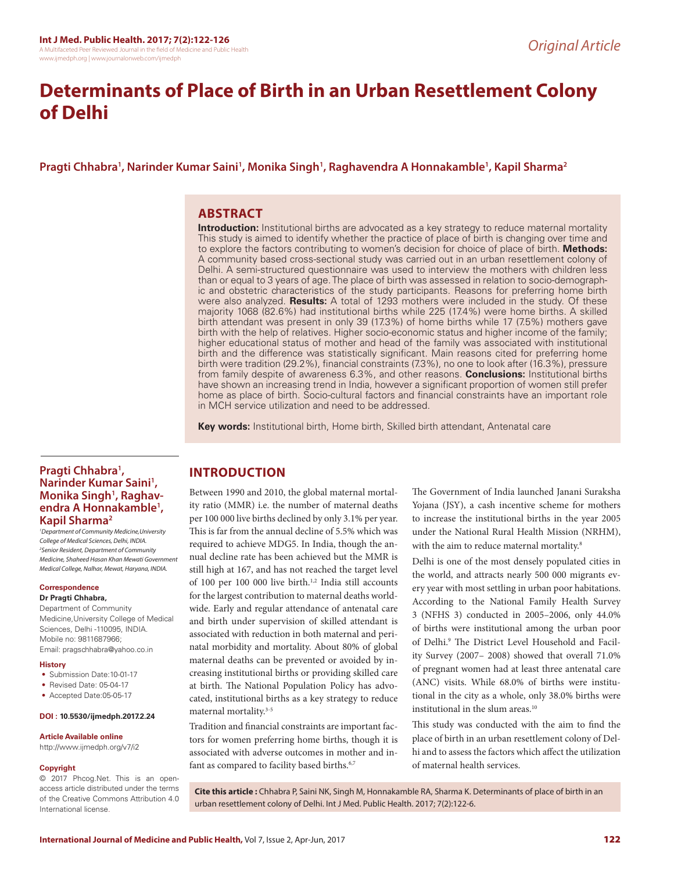# **Determinants of Place of Birth in an Urban Resettlement Colony of Delhi**

## **Pragti Chhabra1 , Narinder Kumar Saini1 , Monika Singh1 , Raghavendra A Honnakamble1 , Kapil Sharma2**

## **ABSTRACT**

**Introduction:** Institutional births are advocated as a key strategy to reduce maternal mortality This study is aimed to identify whether the practice of place of birth is changing over time and to explore the factors contributing to women's decision for choice of place of birth. **Methods:** A community based cross-sectional study was carried out in an urban resettlement colony of Delhi. A semi-structured questionnaire was used to interview the mothers with children less than or equal to 3 years of age. The place of birth was assessed in relation to socio-demographic and obstetric characteristics of the study participants. Reasons for preferring home birth were also analyzed. **Results:** A total of 1293 mothers were included in the study. Of these majority 1068 (82.6%) had institutional births while 225 (17.4%) were home births. A skilled birth attendant was present in only 39 (17.3%) of home births while 17 (7.5%) mothers gave birth with the help of relatives. Higher socio-economic status and higher income of the family; higher educational status of mother and head of the family was associated with institutional birth and the difference was statistically significant. Main reasons cited for preferring home birth were tradition (29.2%), financial constraints (7.3%), no one to look after (16.3%), pressure from family despite of awareness 6.3%, and other reasons. **Conclusions:** Institutional births have shown an increasing trend in India, however a significant proportion of women still prefer home as place of birth. Socio-cultural factors and financial constraints have an important role in MCH service utilization and need to be addressed.

**Key words:** Institutional birth, Home birth, Skilled birth attendant, Antenatal care

### **Pragti Chhabra1 , Narinder Kumar Saini1 , Monika Singh1 , Raghavendra A Honnakamble1 , Kapil Sharma2**

*1 Department of Community Medicine,University College of Medical Sciences, Delhi, INDIA. 2 Senior Resident, Department of Community Medicine, Shaheed Hasan Khan Mewati Government Medical College, Nalhar, Mewat, Haryana, INDIA.*

## **Correspondence**

## **Dr Pragti Chhabra,**

Department of Community Medicine,University College of Medical Sciences, Delhi -110095, INDIA. Mobile no: 9811687966; Email: pragschhabra@yahoo.co.in

#### **History**

- Submission Date:10-01-17
- Revised Date: 05-04-17
- Accepted Date:05-05-17

#### **DOI : 10.5530/ijmedph.2017.2.24**

#### **Article Available online**

http://www.ijmedph.org/v7/i2

#### **Copyright**

© 2017 Phcog.Net. This is an openaccess article distributed under the terms of the Creative Commons Attribution 4.0 International license.

#### **INTRODUCTION**

Between 1990 and 2010, the global maternal mortality ratio (MMR) i.e. the number of maternal deaths per 100 000 live births declined by only 3.1% per year. This is far from the annual decline of 5.5% which was required to achieve MDG5. In India, though the annual decline rate has been achieved but the MMR is still high at 167, and has not reached the target level of 100 per 100 000 live birth.<sup>1,2</sup> India still accounts for the largest contribution to maternal deaths worldwide. Early and regular attendance of antenatal care and birth under supervision of skilled attendant is associated with reduction in both maternal and perinatal morbidity and mortality. About 80% of global maternal deaths can be prevented or avoided by increasing institutional births or providing skilled care at birth. The National Population Policy has advocated, institutional births as a key strategy to reduce maternal mortality.3-5

Tradition and financial constraints are important factors for women preferring home births, though it is associated with adverse outcomes in mother and infant as compared to facility based births.<sup>6,7</sup>

The Government of India launched Janani Suraksha Yojana (JSY), a cash incentive scheme for mothers to increase the institutional births in the year 2005 under the National Rural Health Mission (NRHM), with the aim to reduce maternal mortality.<sup>8</sup>

Delhi is one of the most densely populated cities in the world, and attracts nearly 500 000 migrants every year with most settling in urban poor habitations. According to the National Family Health Survey 3 (NFHS 3) conducted in 2005–2006, only 44.0% of births were institutional among the urban poor of Delhi.9 The District Level Household and Facility Survey (2007– 2008) showed that overall 71.0% of pregnant women had at least three antenatal care (ANC) visits. While 68.0% of births were institutional in the city as a whole, only 38.0% births were institutional in the slum areas.10

This study was conducted with the aim to find the place of birth in an urban resettlement colony of Delhi and to assess the factors which affect the utilization of maternal health services.

**Cite this article :** Chhabra P, Saini NK, Singh M, Honnakamble RA, Sharma K. Determinants of place of birth in an urban resettlement colony of Delhi. Int J Med. Public Health. 2017; 7(2):122-6.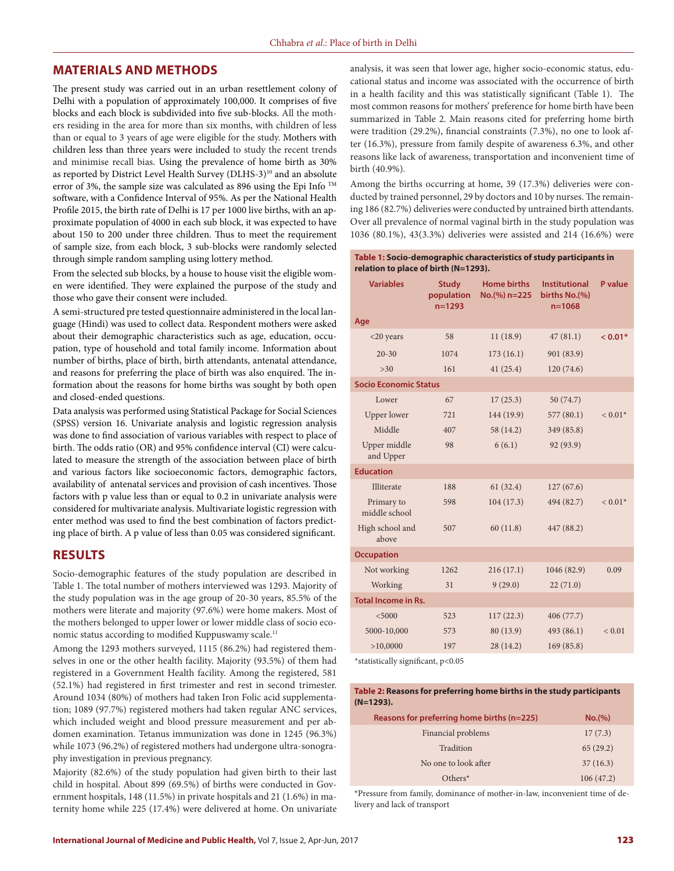#### **MATERIALS AND METHODS**

The present study was carried out in an urban resettlement colony of Delhi with a population of approximately 100,000. It comprises of five blocks and each block is subdivided into five sub-blocks. All the mothers residing in the area for more than six months, with children of less than or equal to 3 years of age were eligible for the study. Mothers with children less than three years were included to study the recent trends and minimise recall bias. Using the prevalence of home birth as 30% as reported by District Level Health Survey (DLHS-3)<sup>10</sup> and an absolute error of 3%, the sample size was calculated as 896 using the Epi Info TM software, with a Confidence Interval of 95%. As per the National Health Profile 2015, the birth rate of Delhi is 17 per 1000 live births, with an approximate population of 4000 in each sub block, it was expected to have about 150 to 200 under three children. Thus to meet the requirement of sample size, from each block, 3 sub-blocks were randomly selected through simple random sampling using lottery method.

From the selected sub blocks, by a house to house visit the eligible women were identified. They were explained the purpose of the study and those who gave their consent were included.

A semi-structured pre tested questionnaire administered in the local language (Hindi) was used to collect data. Respondent mothers were asked about their demographic characteristics such as age, education, occupation, type of household and total family income. Information about number of births, place of birth, birth attendants, antenatal attendance, and reasons for preferring the place of birth was also enquired. The information about the reasons for home births was sought by both open and closed-ended questions.

Data analysis was performed using Statistical Package for Social Sciences (SPSS) version 16. Univariate analysis and logistic regression analysis was done to find association of various variables with respect to place of birth. The odds ratio (OR) and 95% confidence interval (CI) were calculated to measure the strength of the association between place of birth and various factors like socioeconomic factors, demographic factors, availability of antenatal services and provision of cash incentives. Those factors with p value less than or equal to 0.2 in univariate analysis were considered for multivariate analysis. Multivariate logistic regression with enter method was used to find the best combination of factors predicting place of birth. A p value of less than 0.05 was considered significant.

#### **RESULTS**

Socio-demographic features of the study population are described in Table 1. The total number of mothers interviewed was 1293. Majority of the study population was in the age group of 20-30 years, 85.5% of the mothers were literate and majority (97.6%) were home makers. Most of the mothers belonged to upper lower or lower middle class of socio economic status according to modified Kuppuswamy scale.<sup>11</sup>

Among the 1293 mothers surveyed, 1115 (86.2%) had registered themselves in one or the other health facility. Majority (93.5%) of them had registered in a Government Health facility. Among the registered, 581 (52.1%) had registered in first trimester and rest in second trimester. Around 1034 (80%) of mothers had taken Iron Folic acid supplementation; 1089 (97.7%) registered mothers had taken regular ANC services, which included weight and blood pressure measurement and per abdomen examination. Tetanus immunization was done in 1245 (96.3%) while 1073 (96.2%) of registered mothers had undergone ultra-sonography investigation in previous pregnancy.

Majority (82.6%) of the study population had given birth to their last child in hospital. About 899 (69.5%) of births were conducted in Government hospitals, 148 (11.5%) in private hospitals and 21 (1.6%) in maternity home while 225 (17.4%) were delivered at home. On univariate

analysis, it was seen that lower age, higher socio-economic status, educational status and income was associated with the occurrence of birth in a health facility and this was statistically significant (Table 1). The most common reasons for mothers' preference for home birth have been summarized in Table 2. Main reasons cited for preferring home birth were tradition (29.2%), financial constraints (7.3%), no one to look after (16.3%), pressure from family despite of awareness 6.3%, and other reasons like lack of awareness, transportation and inconvenient time of birth (40.9%).

Among the births occurring at home, 39 (17.3%) deliveries were conducted by trained personnel, 29 by doctors and 10 by nurses. The remaining 186 (82.7%) deliveries were conducted by untrained birth attendants. Over all prevalence of normal vaginal birth in the study population was 1036 (80.1%), 43(3.3%) deliveries were assisted and 214 (16.6%) were

#### **Table 1: Socio-demographic characteristics of study participants in relation to place of birth (N=1293).**

| <b>Variables</b>             | <b>Study</b><br>population<br>$n = 1293$ | Home births<br>$No.(%) n=225$ | <b>Institutional</b><br>births No.(%)<br>n=1068 | P value    |
|------------------------------|------------------------------------------|-------------------------------|-------------------------------------------------|------------|
| Age                          |                                          |                               |                                                 |            |
| $<$ 20 years                 | 58                                       | 11(18.9)                      | 47(81.1)                                        | $< 0.01*$  |
| $20 - 30$                    | 1074                                     | 173(16.1)                     | 901 (83.9)                                      |            |
| >30                          | 161                                      | 41(25.4)                      | 120 (74.6)                                      |            |
| <b>Socio Economic Status</b> |                                          |                               |                                                 |            |
| Lower                        | 67                                       | 17(25.3)                      | 50 (74.7)                                       |            |
| Upper lower                  | 721                                      | 144(19.9)                     | 577(80.1)                                       | $< 0.01*$  |
| Middle                       | 407                                      | 58 (14.2)                     | 349 (85.8)                                      |            |
| Upper middle<br>and Upper    | 98                                       | 6(6.1)                        | 92 (93.9)                                       |            |
| <b>Education</b>             |                                          |                               |                                                 |            |
| Illiterate                   | 188                                      | 61(32.4)                      | 127(67.6)                                       |            |
| Primary to<br>middle school  | 598                                      | 104(17.3)                     | 494 (82.7)                                      | $< 0.01*$  |
| High school and<br>above     | 507                                      | 60(11.8)                      | 447 (88.2)                                      |            |
| <b>Occupation</b>            |                                          |                               |                                                 |            |
| Not working                  | 1262                                     | 216(17.1)                     | 1046 (82.9)                                     | 0.09       |
| Working                      | 31                                       | 9(29.0)                       | 22(71.0)                                        |            |
| <b>Total Income in Rs.</b>   |                                          |                               |                                                 |            |
| < 5000                       | 523                                      | 117(22.3)                     | 406(77.7)                                       |            |
| 5000-10,000                  | 573                                      | 80 (13.9)                     | 493 (86.1)                                      | ${}< 0.01$ |
| >10,0000                     | 197                                      | 28 (14.2)                     | 169(85.8)                                       |            |
|                              |                                          |                               |                                                 |            |

\*statistically significant, p<0.05

#### **Table 2: Reasons for preferring home births in the study participants (N=1293).**

| Reasons for preferring home births (n=225) | No.(%)    |
|--------------------------------------------|-----------|
| Financial problems                         | 17(7.3)   |
| Tradition                                  | 65(29.2)  |
| No one to look after                       | 37(16.3)  |
| $Others^*$                                 | 106(47.2) |

\*Pressure from family, dominance of mother-in-law, inconvenient time of delivery and lack of transport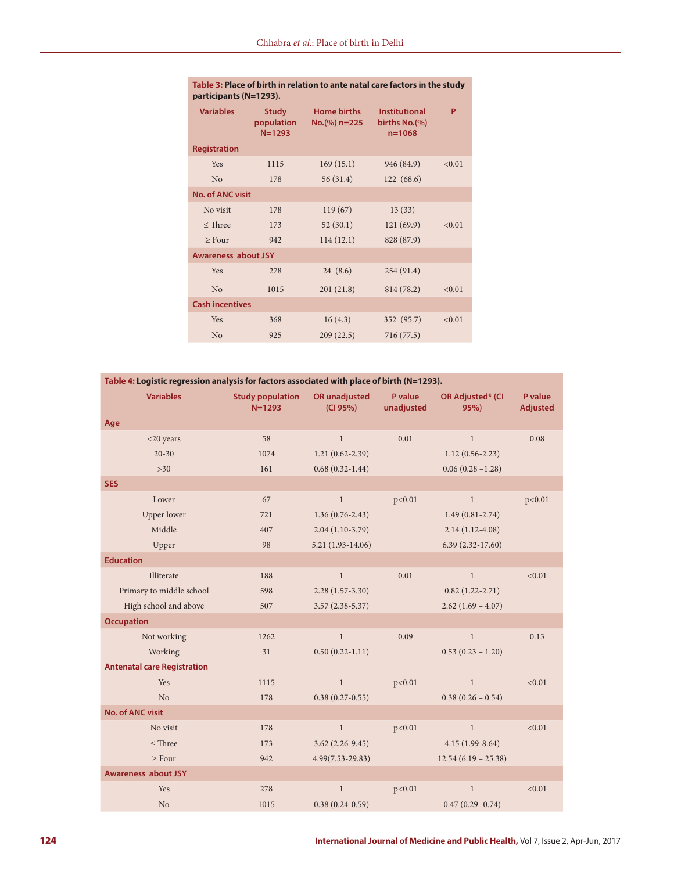| <b>Variables</b>           | <b>Study</b><br>population<br>$N = 1293$ | <b>Home births</b><br>$No.(%) n=225$ | <b>Institutional</b><br>births No.(%)<br>$n = 1068$ | P      |  |  |  |
|----------------------------|------------------------------------------|--------------------------------------|-----------------------------------------------------|--------|--|--|--|
| <b>Registration</b>        |                                          |                                      |                                                     |        |  |  |  |
| Yes                        | 1115                                     | 169(15.1)                            | 946 (84.9)                                          | < 0.01 |  |  |  |
| N <sub>o</sub>             | 178                                      | 56(31.4)                             | 122(68.6)                                           |        |  |  |  |
| <b>No. of ANC visit</b>    |                                          |                                      |                                                     |        |  |  |  |
| No visit                   | 178                                      | 119(67)                              | 13(33)                                              |        |  |  |  |
| $\leq$ Three               | 173                                      | 52(30.1)                             | 121(69.9)                                           | < 0.01 |  |  |  |
| $\geq$ Four                | 942                                      | 114(12.1)                            | 828 (87.9)                                          |        |  |  |  |
| <b>Awareness about JSY</b> |                                          |                                      |                                                     |        |  |  |  |
| Yes                        | 278                                      | 24(8.6)                              | 254(91.4)                                           |        |  |  |  |
| N <sub>o</sub>             | 1015                                     | 201(21.8)                            | 814 (78.2)                                          | < 0.01 |  |  |  |
| <b>Cash incentives</b>     |                                          |                                      |                                                     |        |  |  |  |
| Yes                        | 368                                      | 16(4.3)                              | 352 (95.7)                                          | < 0.01 |  |  |  |
| N <sub>o</sub>             | 925                                      | 209(22.5)                            | 716 (77.5)                                          |        |  |  |  |

|                        | Table 3: Place of birth in relation to ante natal care factors in the study |
|------------------------|-----------------------------------------------------------------------------|
| participants (N=1293). |                                                                             |

| Table 4: Logistic regression analysis for factors associated with place of birth (N=1293). |                                       |                                  |                       |                                 |                            |
|--------------------------------------------------------------------------------------------|---------------------------------------|----------------------------------|-----------------------|---------------------------------|----------------------------|
| <b>Variables</b>                                                                           | <b>Study population</b><br>$N = 1293$ | <b>OR</b> unadjusted<br>(CI 95%) | P value<br>unadjusted | <b>OR Adjusted* (CI</b><br>95%) | P value<br><b>Adjusted</b> |
| Age                                                                                        |                                       |                                  |                       |                                 |                            |
| $<$ 20 years                                                                               | 58                                    | $\mathbf{1}$                     | 0.01                  | $\mathbf{1}$                    | 0.08                       |
| $20 - 30$                                                                                  | 1074                                  | $1.21(0.62 - 2.39)$              |                       | $1.12(0.56 - 2.23)$             |                            |
| $>30$                                                                                      | 161                                   | $0.68(0.32-1.44)$                |                       | $0.06(0.28 - 1.28)$             |                            |
| <b>SES</b>                                                                                 |                                       |                                  |                       |                                 |                            |
| Lower                                                                                      | 67                                    | $\mathbf{1}$                     | p<0.01                | $\mathbf{1}$                    | p<0.01                     |
| <b>Upper lower</b>                                                                         | 721                                   | $1.36(0.76-2.43)$                |                       | $1.49(0.81 - 2.74)$             |                            |
| Middle                                                                                     | 407                                   | $2.04(1.10-3.79)$                |                       | $2.14(1.12-4.08)$               |                            |
| Upper                                                                                      | 98                                    | $5.21(1.93-14.06)$               |                       | $6.39(2.32-17.60)$              |                            |
| <b>Education</b>                                                                           |                                       |                                  |                       |                                 |                            |
| Illiterate                                                                                 | 188                                   | $\mathbf{1}$                     | 0.01                  | $\mathbf{1}$                    | < 0.01                     |
| Primary to middle school                                                                   | 598                                   | $2.28(1.57-3.30)$                |                       | $0.82(1.22 - 2.71)$             |                            |
| High school and above                                                                      | 507                                   | $3.57(2.38-5.37)$                |                       | $2.62(1.69 - 4.07)$             |                            |
| <b>Occupation</b>                                                                          |                                       |                                  |                       |                                 |                            |
| Not working                                                                                | 1262                                  | $\mathbf{1}$                     | 0.09                  | $\mathbf{1}$                    | 0.13                       |
| Working                                                                                    | 31                                    | $0.50(0.22-1.11)$                |                       | $0.53(0.23 - 1.20)$             |                            |
| <b>Antenatal care Registration</b>                                                         |                                       |                                  |                       |                                 |                            |
| Yes                                                                                        | 1115                                  | $\mathbf{1}$                     | p<0.01                | $\mathbf{1}$                    | < 0.01                     |
| N <sub>o</sub>                                                                             | 178                                   | $0.38(0.27-0.55)$                |                       | $0.38(0.26 - 0.54)$             |                            |
| <b>No. of ANC visit</b>                                                                    |                                       |                                  |                       |                                 |                            |
| No visit                                                                                   | 178                                   | $\mathbf{1}$                     | p<0.01                | $\mathbf{1}$                    | < 0.01                     |
| $\leq$ Three                                                                               | 173                                   | $3.62(2.26-9.45)$                |                       | $4.15(1.99-8.64)$               |                            |
| $\geq$ Four                                                                                | 942                                   | $4.99(7.53 - 29.83)$             |                       | $12.54(6.19 - 25.38)$           |                            |
| <b>Awareness about JSY</b>                                                                 |                                       |                                  |                       |                                 |                            |
| Yes                                                                                        | 278                                   | $\mathbf{1}$                     | p<0.01                | $\mathbf{1}$                    | < 0.01                     |
| N <sub>o</sub>                                                                             | 1015                                  | $0.38(0.24-0.59)$                |                       | $0.47(0.29 - 0.74)$             |                            |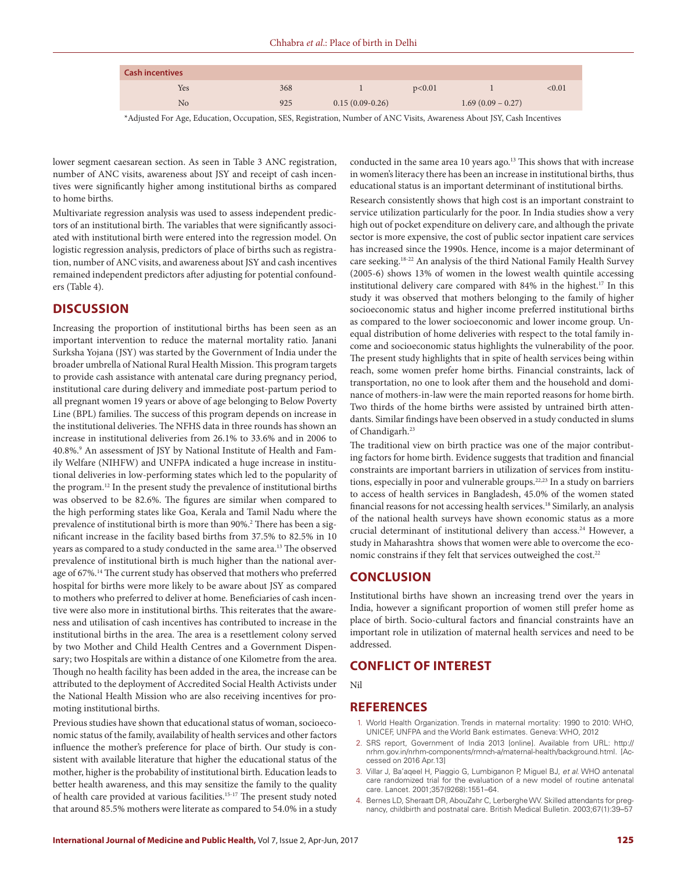| <b>Cash incentives</b> |     |                   |        |                     |           |
|------------------------|-----|-------------------|--------|---------------------|-----------|
| Yes                    | 368 |                   | p<0.01 |                     | ${<}0.01$ |
| No                     | 925 | $0.15(0.09-0.26)$ |        | $1.69(0.09 - 0.27)$ |           |

\*Adjusted For Age, Education, Occupation, SES, Registration, Number of ANC Visits, Awareness About JSY, Cash Incentives

lower segment caesarean section. As seen in Table 3 ANC registration, number of ANC visits, awareness about JSY and receipt of cash incentives were significantly higher among institutional births as compared to home births.

Multivariate regression analysis was used to assess independent predictors of an institutional birth. The variables that were significantly associated with institutional birth were entered into the regression model. On logistic regression analysis, predictors of place of births such as registration, number of ANC visits, and awareness about JSY and cash incentives remained independent predictors after adjusting for potential confounders (Table 4).

## **DISCUSSION**

Increasing the proportion of institutional births has been seen as an important intervention to reduce the maternal mortality ratio. Janani Surksha Yojana (JSY) was started by the Government of India under the broader umbrella of National Rural Health Mission. This program targets to provide cash assistance with antenatal care during pregnancy period, institutional care during delivery and immediate post-partum period to all pregnant women 19 years or above of age belonging to Below Poverty Line (BPL) families. The success of this program depends on increase in the institutional deliveries. The NFHS data in three rounds has shown an increase in institutional deliveries from 26.1% to 33.6% and in 2006 to 40.8%.9 An assessment of JSY by National Institute of Health and Family Welfare (NIHFW) and UNFPA indicated a huge increase in institutional deliveries in low-performing states which led to the popularity of the program.12 In the present study the prevalence of institutional births was observed to be 82.6%. The figures are similar when compared to the high performing states like Goa, Kerala and Tamil Nadu where the prevalence of institutional birth is more than 90%.<sup>2</sup> There has been a significant increase in the facility based births from 37.5% to 82.5% in 10 years as compared to a study conducted in the same area.13 The observed prevalence of institutional birth is much higher than the national average of 67%.<sup>14</sup> The current study has observed that mothers who preferred hospital for births were more likely to be aware about JSY as compared to mothers who preferred to deliver at home. Beneficiaries of cash incentive were also more in institutional births. This reiterates that the awareness and utilisation of cash incentives has contributed to increase in the institutional births in the area. The area is a resettlement colony served by two Mother and Child Health Centres and a Government Dispensary; two Hospitals are within a distance of one Kilometre from the area. Though no health facility has been added in the area, the increase can be attributed to the deployment of Accredited Social Health Activists under the National Health Mission who are also receiving incentives for promoting institutional births.

Previous studies have shown that educational status of woman, socioeconomic status of the family, availability of health services and other factors influence the mother's preference for place of birth. Our study is consistent with available literature that higher the educational status of the mother, higher is the probability of institutional birth. Education leads to better health awareness, and this may sensitize the family to the quality of health care provided at various facilities.15-17 The present study noted that around 85.5% mothers were literate as compared to 54.0% in a study

conducted in the same area 10 years ago.<sup>13</sup> This shows that with increase in women's literacy there has been an increase in institutional births, thus educational status is an important determinant of institutional births.

Research consistently shows that high cost is an important constraint to service utilization particularly for the poor. In India studies show a very high out of pocket expenditure on delivery care, and although the private sector is more expensive, the cost of public sector inpatient care services has increased since the 1990s. Hence, income is a major determinant of care seeking.18-22 An analysis of the third National Family Health Survey (2005-6) shows 13% of women in the lowest wealth quintile accessing institutional delivery care compared with 84% in the highest.<sup>17</sup> In this study it was observed that mothers belonging to the family of higher socioeconomic status and higher income preferred institutional births as compared to the lower socioeconomic and lower income group. Unequal distribution of home deliveries with respect to the total family income and socioeconomic status highlights the vulnerability of the poor. The present study highlights that in spite of health services being within reach, some women prefer home births. Financial constraints, lack of transportation, no one to look after them and the household and dominance of mothers-in-law were the main reported reasons for home birth. Two thirds of the home births were assisted by untrained birth attendants. Similar findings have been observed in a study conducted in slums of Chandigarh.23

The traditional view on birth practice was one of the major contributing factors for home birth. Evidence suggests that tradition and financial constraints are important barriers in utilization of services from institutions, especially in poor and vulnerable groups.<sup>22,23</sup> In a study on barriers to access of health services in Bangladesh, 45.0% of the women stated financial reasons for not accessing health services.<sup>18</sup> Similarly, an analysis of the national health surveys have shown economic status as a more crucial determinant of institutional delivery than access.<sup>24</sup> However, a study in Maharashtra shows that women were able to overcome the economic constrains if they felt that services outweighed the cost.<sup>22</sup>

#### **CONCLUSION**

Institutional births have shown an increasing trend over the years in India, however a significant proportion of women still prefer home as place of birth. Socio-cultural factors and financial constraints have an important role in utilization of maternal health services and need to be addressed.

## **CONFLICT OF INTEREST**

Nil

#### **REFERENCES**

- 1. World Health Organization. Trends in maternal mortality: 1990 to 2010: WHO, UNICEF, UNFPA and the World Bank estimates. Geneva: WHO, 2012
- 2. SRS report, Government of India 2013 [online]. Available from URL: http:// nrhm.gov.in/nrhm-components/rmnch-a/maternal-health/background.html. [Accessed on 2016 Apr.13]
- 3. Villar J, Ba'aqeel H, Piaggio G, Lumbiganon P, Miguel BJ, *et al*. WHO antenatal care randomized trial for the evaluation of a new model of routine antenatal care. Lancet. 2001;357(9268):1551–64.
- 4. Bernes LD, Sheraatt DR, AbouZahr C, Lerberghe WV. Skilled attendants for pregnancy, childbirth and postnatal care. British Medical Bulletin. 2003;67(1):39–57